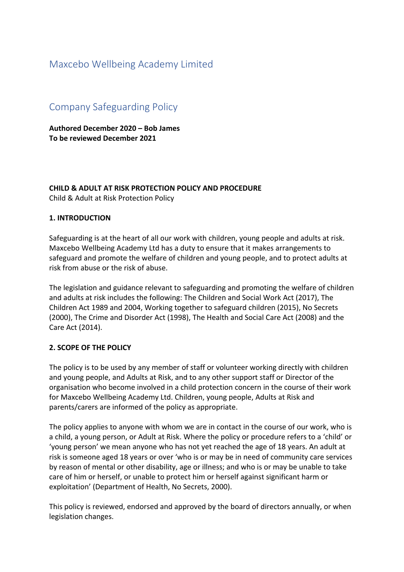# Maxcebo Wellbeing Academy Limited

# Company Safeguarding Policy

**Authored December 2020 – Bob James To be reviewed December 2021**

#### **CHILD & ADULT AT RISK PROTECTION POLICY AND PROCEDURE** Child & Adult at Risk Protection Policy

## **1. INTRODUCTION**

Safeguarding is at the heart of all our work with children, young people and adults at risk. Maxcebo Wellbeing Academy Ltd has a duty to ensure that it makes arrangements to safeguard and promote the welfare of children and young people, and to protect adults at risk from abuse or the risk of abuse.

The legislation and guidance relevant to safeguarding and promoting the welfare of children and adults at risk includes the following: The Children and Social Work Act (2017), The Children Act 1989 and 2004, Working together to safeguard children (2015), No Secrets (2000), The Crime and Disorder Act (1998), The Health and Social Care Act (2008) and the Care Act (2014).

#### **2. SCOPE OF THE POLICY**

The policy is to be used by any member of staff or volunteer working directly with children and young people, and Adults at Risk, and to any other support staff or Director of the organisation who become involved in a child protection concern in the course of their work for Maxcebo Wellbeing Academy Ltd. Children, young people, Adults at Risk and parents/carers are informed of the policy as appropriate.

The policy applies to anyone with whom we are in contact in the course of our work, who is a child, a young person, or Adult at Risk. Where the policy or procedure refers to a 'child' or 'young person' we mean anyone who has not yet reached the age of 18 years. An adult at risk is someone aged 18 years or over 'who is or may be in need of community care services by reason of mental or other disability, age or illness; and who is or may be unable to take care of him or herself, or unable to protect him or herself against significant harm or exploitation' (Department of Health, No Secrets, 2000).

This policy is reviewed, endorsed and approved by the board of directors annually, or when legislation changes.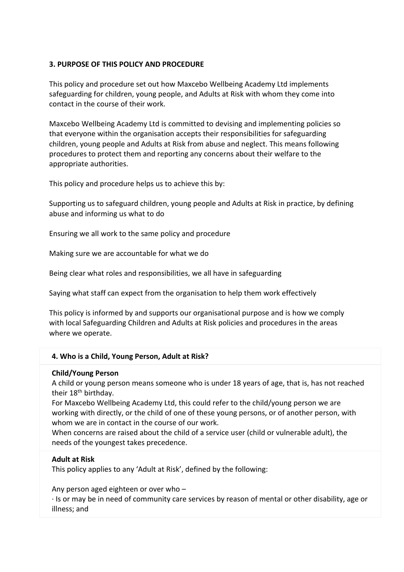## **3. PURPOSE OF THIS POLICY AND PROCEDURE**

This policy and procedure set out how Maxcebo Wellbeing Academy Ltd implements safeguarding for children, young people, and Adults at Risk with whom they come into contact in the course of their work.

Maxcebo Wellbeing Academy Ltd is committed to devising and implementing policies so that everyone within the organisation accepts their responsibilities for safeguarding children, young people and Adults at Risk from abuse and neglect. This means following procedures to protect them and reporting any concerns about their welfare to the appropriate authorities.

This policy and procedure helps us to achieve this by:

Supporting us to safeguard children, young people and Adults at Risk in practice, by defining abuse and informing us what to do

Ensuring we all work to the same policy and procedure

Making sure we are accountable for what we do

Being clear what roles and responsibilities, we all have in safeguarding

Saying what staff can expect from the organisation to help them work effectively

This policy is informed by and supports our organisational purpose and is how we comply with local Safeguarding Children and Adults at Risk policies and procedures in the areas where we operate.

#### **4. Who is a Child, Young Person, Adult at Risk?**

#### **Child/Young Person**

A child or young person means someone who is under 18 years of age, that is, has not reached their 18<sup>th</sup> birthday.

For Maxcebo Wellbeing Academy Ltd, this could refer to the child/young person we are working with directly, or the child of one of these young persons, or of another person, with whom we are in contact in the course of our work.

When concerns are raised about the child of a service user (child or vulnerable adult), the needs of the youngest takes precedence.

#### **Adult at Risk**

This policy applies to any 'Adult at Risk', defined by the following:

Any person aged eighteen or over who –

· Is or may be in need of community care services by reason of mental or other disability, age or illness; and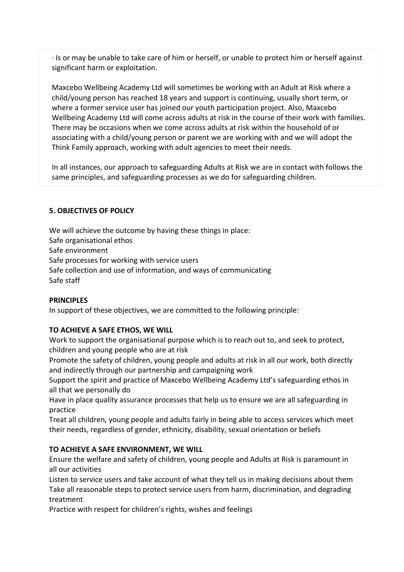· Is or may be unable to take care of him or herself, or unable to protect him or herself against significant harm or exploitation.

Maxcebo Wellbeing Academy Ltd will sometimes be working with an Adult at Risk where a child/young person has reached 18 years and support is continuing, usually short term, or where a former service user has joined our youth participation project. Also, Maxcebo Wellbeing Academy Ltd will come across adults at risk in the course of their work with families. There may be occasions when we come across adults at risk within the household of or associating with a child/young person or parent we are working with and we will adopt the Think Family approach, working with adult agencies to meet their needs.

In all instances, our approach to safeguarding Adults at Risk we are in contact with follows the same principles, and safeguarding processes as we do for safeguarding children.

## **5. OBJECTIVES OF POLICY**

We will achieve the outcome by having these things in place: Safe organisational ethos Safe environment Safe processes for working with service users Safe collection and use of information, and ways of communicating Safe staff

#### **PRINCIPLES**

In support of these objectives, we are committed to the following principle:

#### **TO ACHIEVE A SAFE ETHOS, WE WILL**

Work to support the organisational purpose which is to reach out to, and seek to protect, children and young people who are at risk

Promote the safety of children, young people and adults at risk in all our work, both directly and indirectly through our partnership and campaigning work

Support the spirit and practice of Maxcebo Wellbeing Academy Ltd's safeguarding ethos in all that we personally do

Have in place quality assurance processes that help us to ensure we are all safeguarding in practice

Treat all children, young people and adults fairly in being able to access services which meet their needs, regardless of gender, ethnicity, disability, sexual orientation or beliefs

#### **TO ACHIEVE A SAFE ENVIRONMENT, WE WILL**

Ensure the welfare and safety of children, young people and Adults at Risk is paramount in all our activities

Listen to service users and take account of what they tell us in making decisions about them Take all reasonable steps to protect service users from harm, discrimination, and degrading treatment

Practice with respect for children's rights, wishes and feelings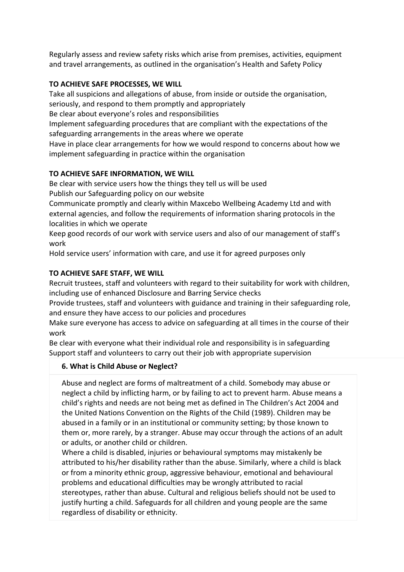Regularly assess and review safety risks which arise from premises, activities, equipment and travel arrangements, as outlined in the organisation's Health and Safety Policy

## **TO ACHIEVE SAFE PROCESSES, WE WILL**

Take all suspicions and allegations of abuse, from inside or outside the organisation, seriously, and respond to them promptly and appropriately

Be clear about everyone's roles and responsibilities

Implement safeguarding procedures that are compliant with the expectations of the safeguarding arrangements in the areas where we operate

Have in place clear arrangements for how we would respond to concerns about how we implement safeguarding in practice within the organisation

## **TO ACHIEVE SAFE INFORMATION, WE WILL**

Be clear with service users how the things they tell us will be used Publish our Safeguarding policy on our website

Communicate promptly and clearly within Maxcebo Wellbeing Academy Ltd and with external agencies, and follow the requirements of information sharing protocols in the localities in which we operate

Keep good records of our work with service users and also of our management of staff's work

Hold service users' information with care, and use it for agreed purposes only

# **TO ACHIEVE SAFE STAFF, WE WILL**

Recruit trustees, staff and volunteers with regard to their suitability for work with children, including use of enhanced Disclosure and Barring Service checks

Provide trustees, staff and volunteers with guidance and training in their safeguarding role, and ensure they have access to our policies and procedures

Make sure everyone has access to advice on safeguarding at all times in the course of their work

Be clear with everyone what their individual role and responsibility is in safeguarding Support staff and volunteers to carry out their job with appropriate supervision

# **6. What is Child Abuse or Neglect?**

Abuse and neglect are forms of maltreatment of a child. Somebody may abuse or neglect a child by inflicting harm, or by failing to act to prevent harm. Abuse means a child's rights and needs are not being met as defined in The Children's Act 2004 and the United Nations Convention on the Rights of the Child (1989). Children may be abused in a family or in an institutional or community setting; by those known to them or, more rarely, by a stranger. Abuse may occur through the actions of an adult or adults, or another child or children.

Where a child is disabled, injuries or behavioural symptoms may mistakenly be attributed to his/her disability rather than the abuse. Similarly, where a child is black or from a minority ethnic group, aggressive behaviour, emotional and behavioural problems and educational difficulties may be wrongly attributed to racial stereotypes, rather than abuse. Cultural and religious beliefs should not be used to justify hurting a child. Safeguards for all children and young people are the same regardless of disability or ethnicity.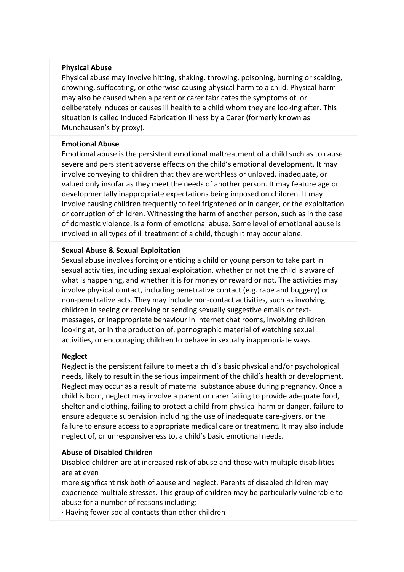#### **Physical Abuse**

Physical abuse may involve hitting, shaking, throwing, poisoning, burning or scalding, drowning, suffocating, or otherwise causing physical harm to a child. Physical harm may also be caused when a parent or carer fabricates the symptoms of, or deliberately induces or causes ill health to a child whom they are looking after. This situation is called Induced Fabrication Illness by a Carer (formerly known as Munchausen's by proxy).

#### **Emotional Abuse**

Emotional abuse is the persistent emotional maltreatment of a child such as to cause severe and persistent adverse effects on the child's emotional development. It may involve conveying to children that they are worthless or unloved, inadequate, or valued only insofar as they meet the needs of another person. It may feature age or developmentally inappropriate expectations being imposed on children. It may involve causing children frequently to feel frightened or in danger, or the exploitation or corruption of children. Witnessing the harm of another person, such as in the case of domestic violence, is a form of emotional abuse. Some level of emotional abuse is involved in all types of ill treatment of a child, though it may occur alone.

#### **Sexual Abuse & Sexual Exploitation**

Sexual abuse involves forcing or enticing a child or young person to take part in sexual activities, including sexual exploitation, whether or not the child is aware of what is happening, and whether it is for money or reward or not. The activities may involve physical contact, including penetrative contact (e.g. rape and buggery) or non-penetrative acts. They may include non-contact activities, such as involving children in seeing or receiving or sending sexually suggestive emails or textmessages, or inappropriate behaviour in Internet chat rooms, involving children looking at, or in the production of, pornographic material of watching sexual activities, or encouraging children to behave in sexually inappropriate ways.

#### **Neglect**

Neglect is the persistent failure to meet a child's basic physical and/or psychological needs, likely to result in the serious impairment of the child's health or development. Neglect may occur as a result of maternal substance abuse during pregnancy. Once a child is born, neglect may involve a parent or carer failing to provide adequate food, shelter and clothing, failing to protect a child from physical harm or danger, failure to ensure adequate supervision including the use of inadequate care-givers, or the failure to ensure access to appropriate medical care or treatment. It may also include neglect of, or unresponsiveness to, a child's basic emotional needs.

#### **Abuse of Disabled Children**

Disabled children are at increased risk of abuse and those with multiple disabilities are at even

more significant risk both of abuse and neglect. Parents of disabled children may experience multiple stresses. This group of children may be particularly vulnerable to abuse for a number of reasons including:

· Having fewer social contacts than other children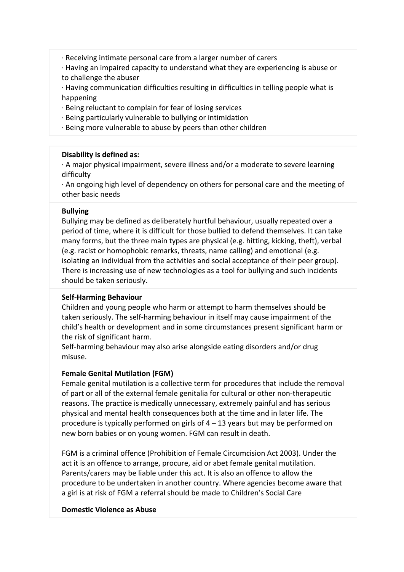· Receiving intimate personal care from a larger number of carers

· Having an impaired capacity to understand what they are experiencing is abuse or to challenge the abuser

· Having communication difficulties resulting in difficulties in telling people what is happening

- · Being reluctant to complain for fear of losing services
- · Being particularly vulnerable to bullying or intimidation
- · Being more vulnerable to abuse by peers than other children

## **Disability is defined as:**

· A major physical impairment, severe illness and/or a moderate to severe learning difficulty

· An ongoing high level of dependency on others for personal care and the meeting of other basic needs

#### **Bullying**

Bullying may be defined as deliberately hurtful behaviour, usually repeated over a period of time, where it is difficult for those bullied to defend themselves. It can take many forms, but the three main types are physical (e.g. hitting, kicking, theft), verbal (e.g. racist or homophobic remarks, threats, name calling) and emotional (e.g. isolating an individual from the activities and social acceptance of their peer group). There is increasing use of new technologies as a tool for bullying and such incidents should be taken seriously.

## **Self-Harming Behaviour**

Children and young people who harm or attempt to harm themselves should be taken seriously. The self-harming behaviour in itself may cause impairment of the child's health or development and in some circumstances present significant harm or the risk of significant harm.

Self-harming behaviour may also arise alongside eating disorders and/or drug misuse.

## **Female Genital Mutilation (FGM)**

Female genital mutilation is a collective term for procedures that include the removal of part or all of the external female genitalia for cultural or other non-therapeutic reasons. The practice is medically unnecessary, extremely painful and has serious physical and mental health consequences both at the time and in later life. The procedure is typically performed on girls of 4 – 13 years but may be performed on new born babies or on young women. FGM can result in death.

FGM is a criminal offence (Prohibition of Female Circumcision Act 2003). Under the act it is an offence to arrange, procure, aid or abet female genital mutilation. Parents/carers may be liable under this act. It is also an offence to allow the procedure to be undertaken in another country. Where agencies become aware that a girl is at risk of FGM a referral should be made to Children's Social Care

#### **Domestic Violence as Abuse**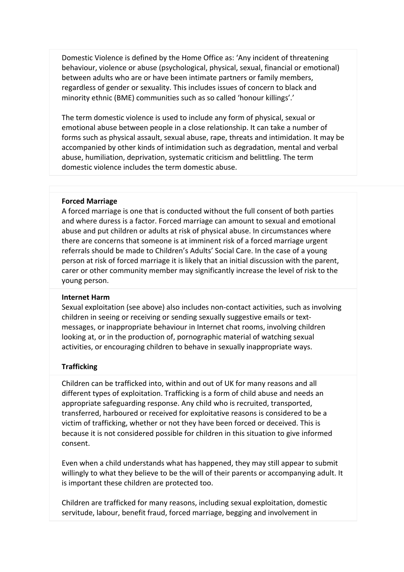Domestic Violence is defined by the Home Office as: 'Any incident of threatening behaviour, violence or abuse (psychological, physical, sexual, financial or emotional) between adults who are or have been intimate partners or family members, regardless of gender or sexuality. This includes issues of concern to black and minority ethnic (BME) communities such as so called 'honour killings'.'

The term domestic violence is used to include any form of physical, sexual or emotional abuse between people in a close relationship. It can take a number of forms such as physical assault, sexual abuse, rape, threats and intimidation. It may be accompanied by other kinds of intimidation such as degradation, mental and verbal abuse, humiliation, deprivation, systematic criticism and belittling. The term domestic violence includes the term domestic abuse.

#### **Forced Marriage**

A forced marriage is one that is conducted without the full consent of both parties and where duress is a factor. Forced marriage can amount to sexual and emotional abuse and put children or adults at risk of physical abuse. In circumstances where there are concerns that someone is at imminent risk of a forced marriage urgent referrals should be made to Children's Adults' Social Care. In the case of a young person at risk of forced marriage it is likely that an initial discussion with the parent, carer or other community member may significantly increase the level of risk to the young person.

#### **Internet Harm**

Sexual exploitation (see above) also includes non-contact activities, such as involving children in seeing or receiving or sending sexually suggestive emails or textmessages, or inappropriate behaviour in Internet chat rooms, involving children looking at, or in the production of, pornographic material of watching sexual activities, or encouraging children to behave in sexually inappropriate ways.

#### **Trafficking**

Children can be trafficked into, within and out of UK for many reasons and all different types of exploitation. Trafficking is a form of child abuse and needs an appropriate safeguarding response. Any child who is recruited, transported, transferred, harboured or received for exploitative reasons is considered to be a victim of trafficking, whether or not they have been forced or deceived. This is because it is not considered possible for children in this situation to give informed consent.

Even when a child understands what has happened, they may still appear to submit willingly to what they believe to be the will of their parents or accompanying adult. It is important these children are protected too.

Children are trafficked for many reasons, including sexual exploitation, domestic servitude, labour, benefit fraud, forced marriage, begging and involvement in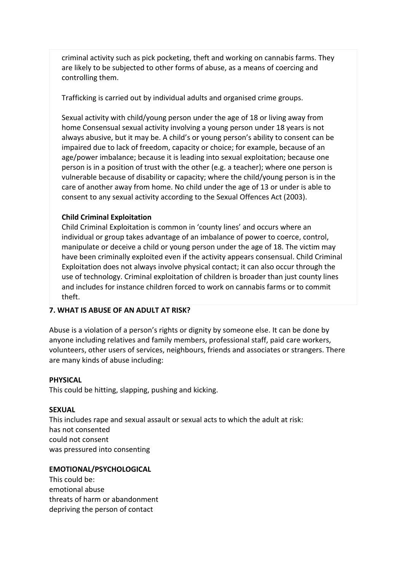criminal activity such as pick pocketing, theft and working on cannabis farms. They are likely to be subjected to other forms of abuse, as a means of coercing and controlling them.

Trafficking is carried out by individual adults and organised crime groups.

Sexual activity with child/young person under the age of 18 or living away from home Consensual sexual activity involving a young person under 18 years is not always abusive, but it may be. A child's or young person's ability to consent can be impaired due to lack of freedom, capacity or choice; for example, because of an age/power imbalance; because it is leading into sexual exploitation; because one person is in a position of trust with the other (e.g. a teacher); where one person is vulnerable because of disability or capacity; where the child/young person is in the care of another away from home. No child under the age of 13 or under is able to consent to any sexual activity according to the Sexual Offences Act (2003).

## **Child Criminal Exploitation**

Child Criminal Exploitation is common in 'county lines' and occurs where an individual or group takes advantage of an imbalance of power to coerce, control, manipulate or deceive a child or young person under the age of 18. The victim may have been criminally exploited even if the activity appears consensual. Child Criminal Exploitation does not always involve physical contact; it can also occur through the use of technology. Criminal exploitation of children is broader than just county lines and includes for instance children forced to work on cannabis farms or to commit theft.

## **7. WHAT IS ABUSE OF AN ADULT AT RISK?**

Abuse is a violation of a person's rights or dignity by someone else. It can be done by anyone including relatives and family members, professional staff, paid care workers, volunteers, other users of services, neighbours, friends and associates or strangers. There are many kinds of abuse including:

#### **PHYSICAL**

This could be hitting, slapping, pushing and kicking.

#### **SEXUAL**

This includes rape and sexual assault or sexual acts to which the adult at risk: has not consented could not consent was pressured into consenting

#### **EMOTIONAL/PSYCHOLOGICAL**

This could be: emotional abuse threats of harm or abandonment depriving the person of contact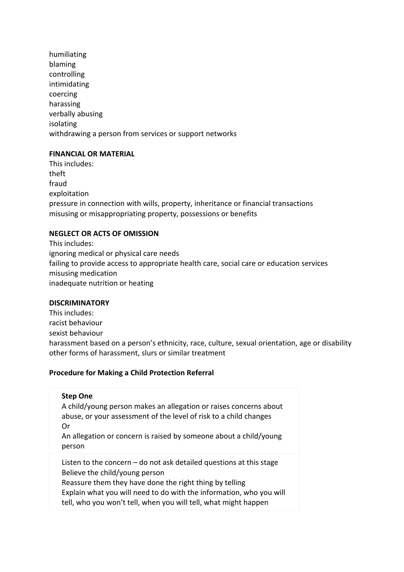humiliating blaming controlling intimidating coercing harassing verbally abusing isolating withdrawing a person from services or support networks

#### **FINANCIAL OR MATERIAL**

This includes: theft fraud exploitation pressure in connection with wills, property, inheritance or financial transactions misusing or misappropriating property, possessions or benefits

## **NEGLECT OR ACTS OF OMISSION**

This includes: ignoring medical or physical care needs failing to provide access to appropriate health care, social care or education services misusing medication inadequate nutrition or heating

## **DISCRIMINATORY**

This includes: racist behaviour sexist behaviour harassment based on a person's ethnicity, race, culture, sexual orientation, age or disability other forms of harassment, slurs or similar treatment

## **Procedure for Making a Child Protection Referral**

# **Step One** A child/young person makes an allegation or raises concerns about abuse, or your assessment of the level of risk to a child changes Or An allegation or concern is raised by someone about a child/young person Listen to the concern  $-$  do not ask detailed questions at this stage Believe the child/young person Reassure them they have done the right thing by telling Explain what you will need to do with the information, who you will tell, who you won't tell, when you will tell, what might happen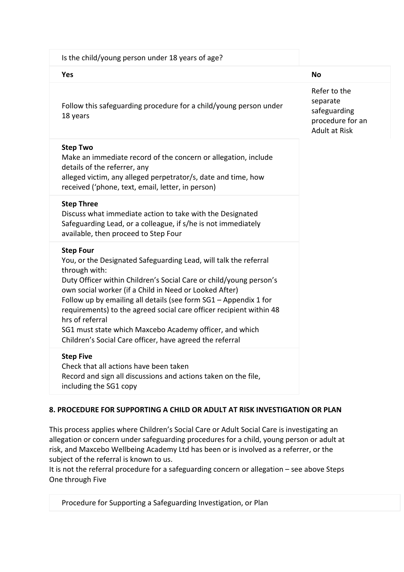| Is the child/young person under 18 years of age?                                                                                                                                                                                                                                                                                                                                                                                                                                                                           |                                                                                      |  |
|----------------------------------------------------------------------------------------------------------------------------------------------------------------------------------------------------------------------------------------------------------------------------------------------------------------------------------------------------------------------------------------------------------------------------------------------------------------------------------------------------------------------------|--------------------------------------------------------------------------------------|--|
| Yes                                                                                                                                                                                                                                                                                                                                                                                                                                                                                                                        | <b>No</b>                                                                            |  |
| Follow this safeguarding procedure for a child/young person under<br>18 years                                                                                                                                                                                                                                                                                                                                                                                                                                              | Refer to the<br>separate<br>safeguarding<br>procedure for an<br><b>Adult at Risk</b> |  |
| <b>Step Two</b><br>Make an immediate record of the concern or allegation, include<br>details of the referrer, any<br>alleged victim, any alleged perpetrator/s, date and time, how<br>received ('phone, text, email, letter, in person)                                                                                                                                                                                                                                                                                    |                                                                                      |  |
| <b>Step Three</b><br>Discuss what immediate action to take with the Designated<br>Safeguarding Lead, or a colleague, if s/he is not immediately<br>available, then proceed to Step Four                                                                                                                                                                                                                                                                                                                                    |                                                                                      |  |
| <b>Step Four</b><br>You, or the Designated Safeguarding Lead, will talk the referral<br>through with:<br>Duty Officer within Children's Social Care or child/young person's<br>own social worker (if a Child in Need or Looked After)<br>Follow up by emailing all details (see form SG1 - Appendix 1 for<br>requirements) to the agreed social care officer recipient within 48<br>hrs of referral<br>SG1 must state which Maxcebo Academy officer, and which<br>Children's Social Care officer, have agreed the referral |                                                                                      |  |
| <b>Step Five</b><br>Check that all actions have been taken<br>Record and sign all discussions and actions taken on the file,<br>including the SG1 copy                                                                                                                                                                                                                                                                                                                                                                     |                                                                                      |  |

## **8. PROCEDURE FOR SUPPORTING A CHILD OR ADULT AT RISK INVESTIGATION OR PLAN**

This process applies where Children's Social Care or Adult Social Care is investigating an allegation or concern under safeguarding procedures for a child, young person or adult at risk, and Maxcebo Wellbeing Academy Ltd has been or is involved as a referrer, or the subject of the referral is known to us.

It is not the referral procedure for a safeguarding concern or allegation – see above Steps One through Five

Procedure for Supporting a Safeguarding Investigation, or Plan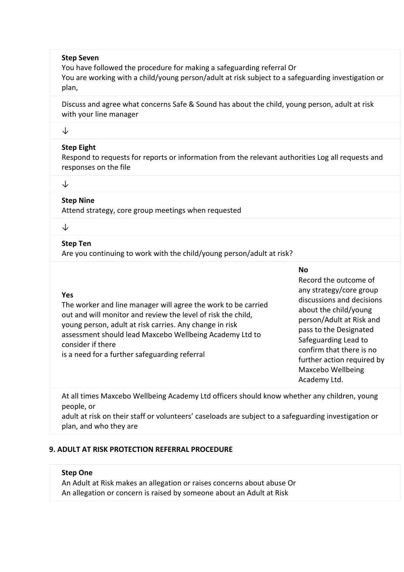#### **Step Seven**

You have followed the procedure for making a safeguarding referral Or You are working with a child/young person/adult at risk subject to a safeguarding investigation or plan,

Discuss and agree what concerns Safe & Sound has about the child, young person, adult at risk with your line manager

#### ↓

#### **Step Eight**

Respond to requests for reports or information from the relevant authorities Log all requests and responses on the file

↓

#### **Step Nine**

Attend strategy, core group meetings when requested

#### ↓

**Yes**

consider if there

#### **Step Ten**

Are you continuing to work with the child/young person/adult at risk?

The worker and line manager will agree the work to be carried out and will monitor and review the level of risk the child, young person, adult at risk carries. Any change in risk

assessment should lead Maxcebo Wellbeing Academy Ltd to

# **No**

## Record the outcome of any strategy/core group discussions and decisions about the child/young person/Adult at Risk and pass to the Designated Safeguarding Lead to confirm that there is no further action required by Maxcebo Wellbeing Academy Ltd.

At all times Maxcebo Wellbeing Academy Ltd officers should know whether any children, young people, or

adult at risk on their staff or volunteers' caseloads are subject to a safeguarding investigation or plan, and who they are

#### **9. ADULT AT RISK PROTECTION REFERRAL PROCEDURE**

is a need for a further safeguarding referral

#### **Step One**

An Adult at Risk makes an allegation or raises concerns about abuse Or An allegation or concern is raised by someone about an Adult at Risk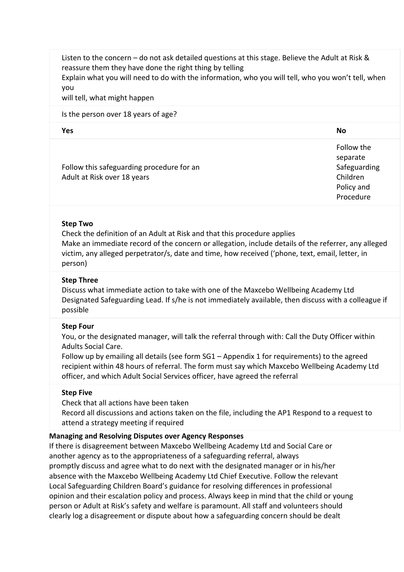Listen to the concern – do not ask detailed questions at this stage. Believe the Adult at Risk & reassure them they have done the right thing by telling

Explain what you will need to do with the information, who you will tell, who you won't tell, when you

will tell, what might happen

#### Is the person over 18 years of age?

| Yes | <b>No</b> |
|-----|-----------|
|     |           |

|                                           | Follow the   |
|-------------------------------------------|--------------|
|                                           | separate     |
| Follow this safeguarding procedure for an | Safeguarding |
| Adult at Risk over 18 years               | Children     |
|                                           | Policy and   |
|                                           | Procedure    |

#### **Step Two**

Check the definition of an Adult at Risk and that this procedure applies Make an immediate record of the concern or allegation, include details of the referrer, any alleged victim, any alleged perpetrator/s, date and time, how received ('phone, text, email, letter, in person)

## **Step Three**

Discuss what immediate action to take with one of the Maxcebo Wellbeing Academy Ltd Designated Safeguarding Lead. If s/he is not immediately available, then discuss with a colleague if possible

#### **Step Four**

You, or the designated manager, will talk the referral through with: Call the Duty Officer within Adults Social Care.

Follow up by emailing all details (see form SG1 – Appendix 1 for requirements) to the agreed recipient within 48 hours of referral. The form must say which Maxcebo Wellbeing Academy Ltd officer, and which Adult Social Services officer, have agreed the referral

#### **Step Five**

Check that all actions have been taken

Record all discussions and actions taken on the file, including the AP1 Respond to a request to attend a strategy meeting if required

#### **Managing and Resolving Disputes over Agency Responses**

If there is disagreement between Maxcebo Wellbeing Academy Ltd and Social Care or another agency as to the appropriateness of a safeguarding referral, always promptly discuss and agree what to do next with the designated manager or in his/her absence with the Maxcebo Wellbeing Academy Ltd Chief Executive. Follow the relevant Local Safeguarding Children Board's guidance for resolving differences in professional opinion and their escalation policy and process. Always keep in mind that the child or young person or Adult at Risk's safety and welfare is paramount. All staff and volunteers should clearly log a disagreement or dispute about how a safeguarding concern should be dealt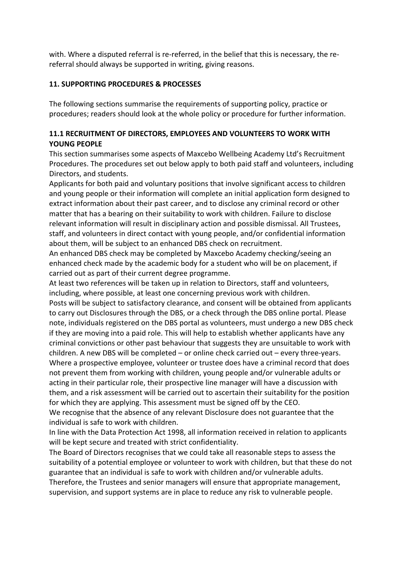with. Where a disputed referral is re-referred, in the belief that this is necessary, the rereferral should always be supported in writing, giving reasons.

## **11. SUPPORTING PROCEDURES & PROCESSES**

The following sections summarise the requirements of supporting policy, practice or procedures; readers should look at the whole policy or procedure for further information.

## **11.1 RECRUITMENT OF DIRECTORS, EMPLOYEES AND VOLUNTEERS TO WORK WITH YOUNG PEOPLE**

This section summarises some aspects of Maxcebo Wellbeing Academy Ltd's Recruitment Procedures. The procedures set out below apply to both paid staff and volunteers, including Directors, and students.

Applicants for both paid and voluntary positions that involve significant access to children and young people or their information will complete an initial application form designed to extract information about their past career, and to disclose any criminal record or other matter that has a bearing on their suitability to work with children. Failure to disclose relevant information will result in disciplinary action and possible dismissal. All Trustees, staff, and volunteers in direct contact with young people, and/or confidential information about them, will be subject to an enhanced DBS check on recruitment.

An enhanced DBS check may be completed by Maxcebo Academy checking/seeing an enhanced check made by the academic body for a student who will be on placement, if carried out as part of their current degree programme.

At least two references will be taken up in relation to Directors, staff and volunteers, including, where possible, at least one concerning previous work with children.

Posts will be subject to satisfactory clearance, and consent will be obtained from applicants to carry out Disclosures through the DBS, or a check through the DBS online portal. Please note, individuals registered on the DBS portal as volunteers, must undergo a new DBS check if they are moving into a paid role. This will help to establish whether applicants have any criminal convictions or other past behaviour that suggests they are unsuitable to work with children. A new DBS will be completed – or online check carried out – every three-years. Where a prospective employee, volunteer or trustee does have a criminal record that does not prevent them from working with children, young people and/or vulnerable adults or acting in their particular role, their prospective line manager will have a discussion with them, and a risk assessment will be carried out to ascertain their suitability for the position for which they are applying. This assessment must be signed off by the CEO. We recognise that the absence of any relevant Disclosure does not guarantee that the

individual is safe to work with children.

In line with the Data Protection Act 1998, all information received in relation to applicants will be kept secure and treated with strict confidentiality.

The Board of Directors recognises that we could take all reasonable steps to assess the suitability of a potential employee or volunteer to work with children, but that these do not guarantee that an individual is safe to work with children and/or vulnerable adults.

Therefore, the Trustees and senior managers will ensure that appropriate management, supervision, and support systems are in place to reduce any risk to vulnerable people.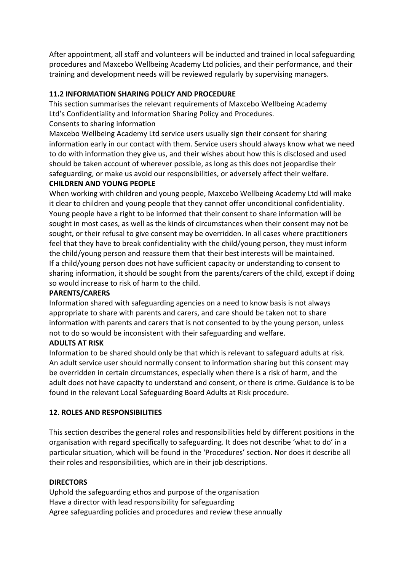After appointment, all staff and volunteers will be inducted and trained in local safeguarding procedures and Maxcebo Wellbeing Academy Ltd policies, and their performance, and their training and development needs will be reviewed regularly by supervising managers.

## **11.2 INFORMATION SHARING POLICY AND PROCEDURE**

This section summarises the relevant requirements of Maxcebo Wellbeing Academy Ltd's Confidentiality and Information Sharing Policy and Procedures.

## Consents to sharing information

Maxcebo Wellbeing Academy Ltd service users usually sign their consent for sharing information early in our contact with them. Service users should always know what we need to do with information they give us, and their wishes about how this is disclosed and used should be taken account of wherever possible, as long as this does not jeopardise their safeguarding, or make us avoid our responsibilities, or adversely affect their welfare.

## **CHILDREN AND YOUNG PEOPLE**

When working with children and young people, Maxcebo Wellbeing Academy Ltd will make it clear to children and young people that they cannot offer unconditional confidentiality. Young people have a right to be informed that their consent to share information will be sought in most cases, as well as the kinds of circumstances when their consent may not be sought, or their refusal to give consent may be overridden. In all cases where practitioners feel that they have to break confidentiality with the child/young person, they must inform the child/young person and reassure them that their best interests will be maintained. If a child/young person does not have sufficient capacity or understanding to consent to sharing information, it should be sought from the parents/carers of the child, except if doing so would increase to risk of harm to the child.

#### **PARENTS/CARERS**

Information shared with safeguarding agencies on a need to know basis is not always appropriate to share with parents and carers, and care should be taken not to share information with parents and carers that is not consented to by the young person, unless not to do so would be inconsistent with their safeguarding and welfare.

#### **ADULTS AT RISK**

Information to be shared should only be that which is relevant to safeguard adults at risk. An adult service user should normally consent to information sharing but this consent may be overridden in certain circumstances, especially when there is a risk of harm, and the adult does not have capacity to understand and consent, or there is crime. Guidance is to be found in the relevant Local Safeguarding Board Adults at Risk procedure.

## **12. ROLES AND RESPONSIBILITIES**

This section describes the general roles and responsibilities held by different positions in the organisation with regard specifically to safeguarding. It does not describe 'what to do' in a particular situation, which will be found in the 'Procedures' section. Nor does it describe all their roles and responsibilities, which are in their job descriptions.

#### **DIRECTORS**

Uphold the safeguarding ethos and purpose of the organisation Have a director with lead responsibility for safeguarding Agree safeguarding policies and procedures and review these annually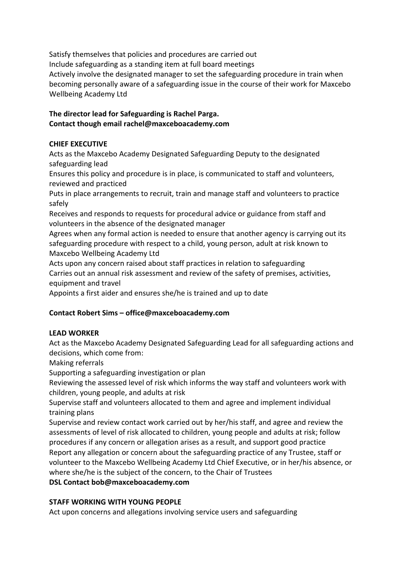Satisfy themselves that policies and procedures are carried out Include safeguarding as a standing item at full board meetings Actively involve the designated manager to set the safeguarding procedure in train when becoming personally aware of a safeguarding issue in the course of their work for Maxcebo Wellbeing Academy Ltd

## **The director lead for Safeguarding is Rachel Parga. Contact though email rachel@maxceboacademy.com**

# **CHIEF EXECUTIVE**

Acts as the Maxcebo Academy Designated Safeguarding Deputy to the designated safeguarding lead

Ensures this policy and procedure is in place, is communicated to staff and volunteers, reviewed and practiced

Puts in place arrangements to recruit, train and manage staff and volunteers to practice safely

Receives and responds to requests for procedural advice or guidance from staff and volunteers in the absence of the designated manager

Agrees when any formal action is needed to ensure that another agency is carrying out its safeguarding procedure with respect to a child, young person, adult at risk known to Maxcebo Wellbeing Academy Ltd

Acts upon any concern raised about staff practices in relation to safeguarding Carries out an annual risk assessment and review of the safety of premises, activities, equipment and travel

Appoints a first aider and ensures she/he is trained and up to date

# **Contact Robert Sims – office@maxceboacademy.com**

# **LEAD WORKER**

Act as the Maxcebo Academy Designated Safeguarding Lead for all safeguarding actions and decisions, which come from:

Making referrals

Supporting a safeguarding investigation or plan

Reviewing the assessed level of risk which informs the way staff and volunteers work with children, young people, and adults at risk

Supervise staff and volunteers allocated to them and agree and implement individual training plans

Supervise and review contact work carried out by her/his staff, and agree and review the assessments of level of risk allocated to children, young people and adults at risk; follow procedures if any concern or allegation arises as a result, and support good practice Report any allegation or concern about the safeguarding practice of any Trustee, staff or volunteer to the Maxcebo Wellbeing Academy Ltd Chief Executive, or in her/his absence, or where she/he is the subject of the concern, to the Chair of Trustees

# **DSL Contact bob@maxceboacademy.com**

# **STAFF WORKING WITH YOUNG PEOPLE**

Act upon concerns and allegations involving service users and safeguarding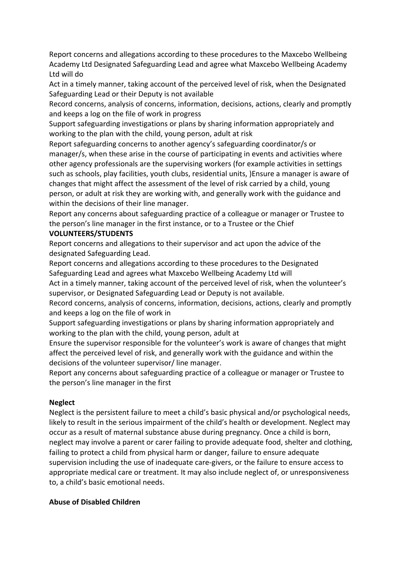Report concerns and allegations according to these procedures to the Maxcebo Wellbeing Academy Ltd Designated Safeguarding Lead and agree what Maxcebo Wellbeing Academy Ltd will do

Act in a timely manner, taking account of the perceived level of risk, when the Designated Safeguarding Lead or their Deputy is not available

Record concerns, analysis of concerns, information, decisions, actions, clearly and promptly and keeps a log on the file of work in progress

Support safeguarding investigations or plans by sharing information appropriately and working to the plan with the child, young person, adult at risk

Report safeguarding concerns to another agency's safeguarding coordinator/s or manager/s, when these arise in the course of participating in events and activities where other agency professionals are the supervising workers (for example activities in settings such as schools, play facilities, youth clubs, residential units, )Ensure a manager is aware of changes that might affect the assessment of the level of risk carried by a child, young person, or adult at risk they are working with, and generally work with the guidance and within the decisions of their line manager.

Report any concerns about safeguarding practice of a colleague or manager or Trustee to the person's line manager in the first instance, or to a Trustee or the Chief

## **VOLUNTEERS/STUDENTS**

Report concerns and allegations to their supervisor and act upon the advice of the designated Safeguarding Lead.

Report concerns and allegations according to these procedures to the Designated Safeguarding Lead and agrees what Maxcebo Wellbeing Academy Ltd will

Act in a timely manner, taking account of the perceived level of risk, when the volunteer's supervisor, or Designated Safeguarding Lead or Deputy is not available.

Record concerns, analysis of concerns, information, decisions, actions, clearly and promptly and keeps a log on the file of work in

Support safeguarding investigations or plans by sharing information appropriately and working to the plan with the child, young person, adult at

Ensure the supervisor responsible for the volunteer's work is aware of changes that might affect the perceived level of risk, and generally work with the guidance and within the decisions of the volunteer supervisor/ line manager.

Report any concerns about safeguarding practice of a colleague or manager or Trustee to the person's line manager in the first

## **Neglect**

Neglect is the persistent failure to meet a child's basic physical and/or psychological needs, likely to result in the serious impairment of the child's health or development. Neglect may occur as a result of maternal substance abuse during pregnancy. Once a child is born, neglect may involve a parent or carer failing to provide adequate food, shelter and clothing, failing to protect a child from physical harm or danger, failure to ensure adequate supervision including the use of inadequate care-givers, or the failure to ensure access to appropriate medical care or treatment. It may also include neglect of, or unresponsiveness to, a child's basic emotional needs.

#### **Abuse of Disabled Children**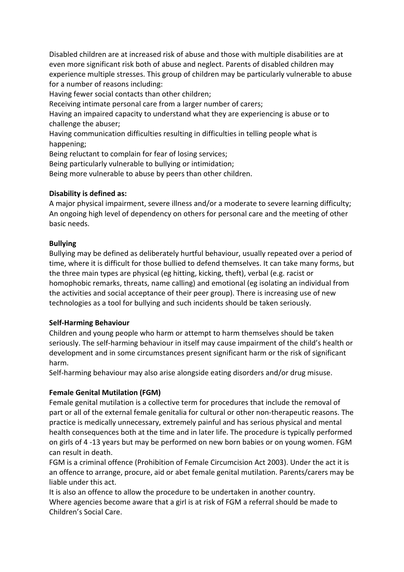Disabled children are at increased risk of abuse and those with multiple disabilities are at even more significant risk both of abuse and neglect. Parents of disabled children may experience multiple stresses. This group of children may be particularly vulnerable to abuse for a number of reasons including:

Having fewer social contacts than other children;

Receiving intimate personal care from a larger number of carers;

Having an impaired capacity to understand what they are experiencing is abuse or to challenge the abuser;

Having communication difficulties resulting in difficulties in telling people what is happening;

Being reluctant to complain for fear of losing services;

Being particularly vulnerable to bullying or intimidation;

Being more vulnerable to abuse by peers than other children.

## **Disability is defined as:**

A major physical impairment, severe illness and/or a moderate to severe learning difficulty; An ongoing high level of dependency on others for personal care and the meeting of other basic needs.

## **Bullying**

Bullying may be defined as deliberately hurtful behaviour, usually repeated over a period of time, where it is difficult for those bullied to defend themselves. It can take many forms, but the three main types are physical (eg hitting, kicking, theft), verbal (e.g. racist or homophobic remarks, threats, name calling) and emotional (eg isolating an individual from the activities and social acceptance of their peer group). There is increasing use of new technologies as a tool for bullying and such incidents should be taken seriously.

#### **Self-Harming Behaviour**

Children and young people who harm or attempt to harm themselves should be taken seriously. The self-harming behaviour in itself may cause impairment of the child's health or development and in some circumstances present significant harm or the risk of significant harm.

Self-harming behaviour may also arise alongside eating disorders and/or drug misuse.

## **Female Genital Mutilation (FGM)**

Female genital mutilation is a collective term for procedures that include the removal of part or all of the external female genitalia for cultural or other non-therapeutic reasons. The practice is medically unnecessary, extremely painful and has serious physical and mental health consequences both at the time and in later life. The procedure is typically performed on girls of 4 -13 years but may be performed on new born babies or on young women. FGM can result in death.

FGM is a criminal offence (Prohibition of Female Circumcision Act 2003). Under the act it is an offence to arrange, procure, aid or abet female genital mutilation. Parents/carers may be liable under this act.

It is also an offence to allow the procedure to be undertaken in another country. Where agencies become aware that a girl is at risk of FGM a referral should be made to Children's Social Care.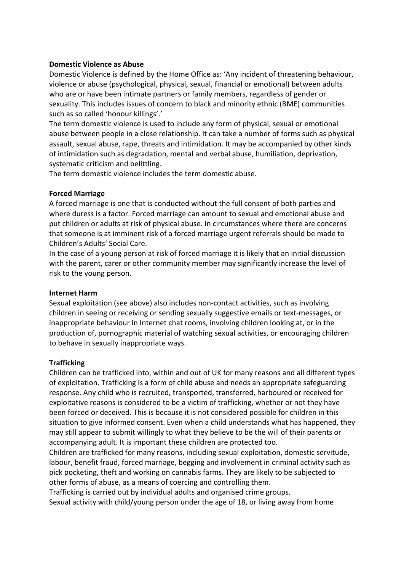#### **Domestic Violence as Abuse**

Domestic Violence is defined by the Home Office as: 'Any incident of threatening behaviour, violence or abuse (psychological, physical, sexual, financial or emotional) between adults who are or have been intimate partners or family members, regardless of gender or sexuality. This includes issues of concern to black and minority ethnic (BME) communities such as so called 'honour killings'.'

The term domestic violence is used to include any form of physical, sexual or emotional abuse between people in a close relationship. It can take a number of forms such as physical assault, sexual abuse, rape, threats and intimidation. It may be accompanied by other kinds of intimidation such as degradation, mental and verbal abuse, humiliation, deprivation, systematic criticism and belittling.

The term domestic violence includes the term domestic abuse.

## **Forced Marriage**

A forced marriage is one that is conducted without the full consent of both parties and where duress is a factor. Forced marriage can amount to sexual and emotional abuse and put children or adults at risk of physical abuse. In circumstances where there are concerns that someone is at imminent risk of a forced marriage urgent referrals should be made to Children's Adults' Social Care.

In the case of a young person at risk of forced marriage it is likely that an initial discussion with the parent, carer or other community member may significantly increase the level of risk to the young person.

#### **Internet Harm**

Sexual exploitation (see above) also includes non-contact activities, such as involving children in seeing or receiving or sending sexually suggestive emails or text-messages, or inappropriate behaviour in Internet chat rooms, involving children looking at, or in the production of, pornographic material of watching sexual activities, or encouraging children to behave in sexually inappropriate ways.

## **Trafficking**

Children can be trafficked into, within and out of UK for many reasons and all different types of exploitation. Trafficking is a form of child abuse and needs an appropriate safeguarding response. Any child who is recruited, transported, transferred, harboured or received for exploitative reasons is considered to be a victim of trafficking, whether or not they have been forced or deceived. This is because it is not considered possible for children in this situation to give informed consent. Even when a child understands what has happened, they may still appear to submit willingly to what they believe to be the will of their parents or accompanying adult. It is important these children are protected too.

Children are trafficked for many reasons, including sexual exploitation, domestic servitude, labour, benefit fraud, forced marriage, begging and involvement in criminal activity such as pick pocketing, theft and working on cannabis farms. They are likely to be subjected to other forms of abuse, as a means of coercing and controlling them.

Trafficking is carried out by individual adults and organised crime groups. Sexual activity with child/young person under the age of 18, or living away from home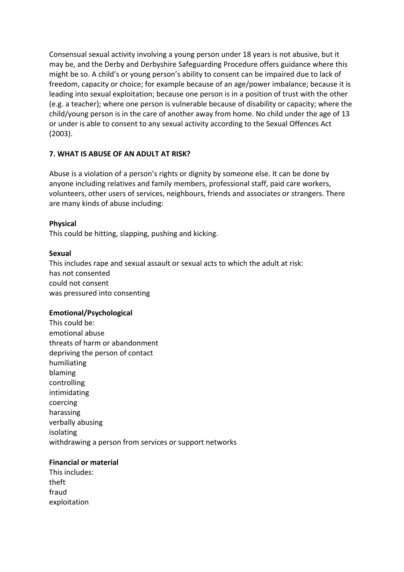Consensual sexual activity involving a young person under 18 years is not abusive, but it may be, and the Derby and Derbyshire Safeguarding Procedure offers guidance where this might be so. A child's or young person's ability to consent can be impaired due to lack of freedom, capacity or choice; for example because of an age/power imbalance; because it is leading into sexual exploitation; because one person is in a position of trust with the other (e.g. a teacher); where one person is vulnerable because of disability or capacity; where the child/young person is in the care of another away from home. No child under the age of 13 or under is able to consent to any sexual activity according to the Sexual Offences Act (2003).

## **7. WHAT IS ABUSE OF AN ADULT AT RISK?**

Abuse is a violation of a person's rights or dignity by someone else. It can be done by anyone including relatives and family members, professional staff, paid care workers, volunteers, other users of services, neighbours, friends and associates or strangers. There are many kinds of abuse including:

#### **Physical**

This could be hitting, slapping, pushing and kicking.

#### **Sexual**

This includes rape and sexual assault or sexual acts to which the adult at risk: has not consented could not consent was pressured into consenting

#### **Emotional/Psychological**

This could be: emotional abuse threats of harm or abandonment depriving the person of contact humiliating blaming controlling intimidating coercing harassing verbally abusing isolating withdrawing a person from services or support networks

#### **Financial or material**

| This includes: |
|----------------|
| theft          |
| fraud          |
| exploitation   |